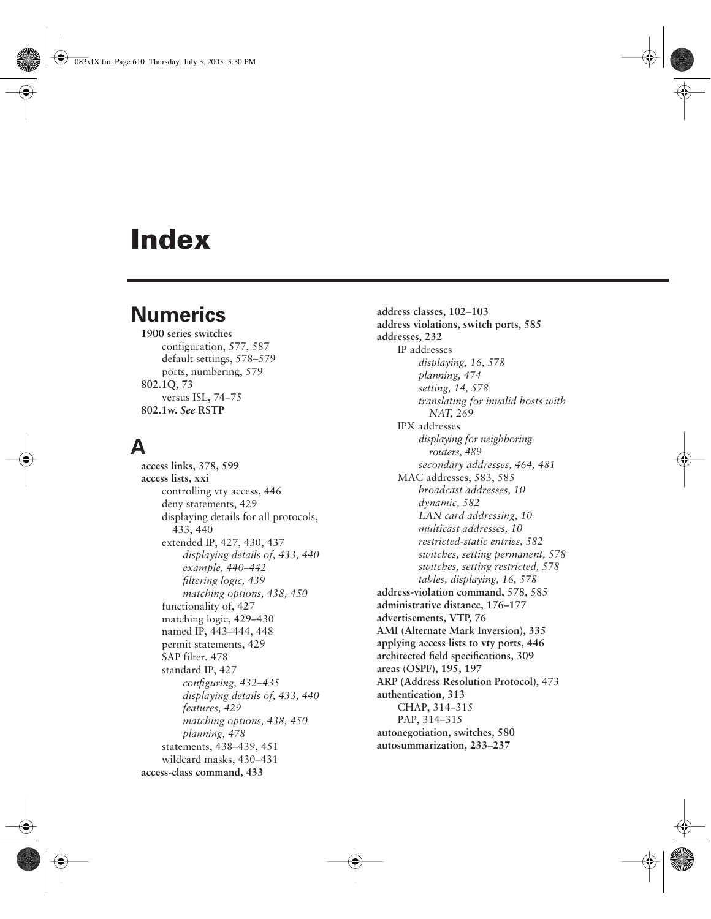# **Index**

### **Numerics**

**1900 series switches** configuration, 577, 587 default settings, 578–579 ports, numbering, 579 **802.1Q, 73** versus ISL, 74–75 **802.1w.** *See* **RSTP**

### **A**

**access links, 378, 599 access lists, xxi** controlling vty access, 446 deny statements, 429 displaying details for all protocols, 433, 440 extended IP, 427, 430, 437 *displaying details of, 433, 440 example, 440–442 filtering logic, 439 matching options, 438, 450* functionality of, 427 matching logic, 429–430 named IP, 443–444, 448 permit statements, 429 SAP filter, 478 standard IP, 427 *configuring, 432–435 displaying details of, 433, 440 features, 429 matching options, 438, 450 planning, 478* statements, 438–439, 451 wildcard masks, 430–431 **access-class command, 433**

**address classes, 102–103 address violations, switch ports, 585 addresses, 232** IP addresses *displaying, 16, 578 planning, 474 setting, 14, 578 translating for invalid hosts with NAT, 269* IPX addresses *displaying for neighboring routers, 489 secondary addresses, 464, 481* MAC addresses, 583, 585 *broadcast addresses, 10 dynamic, 582 LAN card addressing, 10 multicast addresses, 10 restricted-static entries, 582 switches, setting permanent, 578 switches, setting restricted, 578 tables, displaying, 16, 578* **address-violation command, 578, 585 administrative distance, 176–177 advertisements, VTP, 76 AMI (Alternate Mark Inversion), 335 applying access lists to vty ports, 446 architected field specifications, 309 areas (OSPF), 195, 197 ARP (Address Resolution Protocol)**, 473 **authentication, 313** CHAP, 314–315 PAP, 314–315 **autonegotiation, switches, 580 autosummarization, 233–237**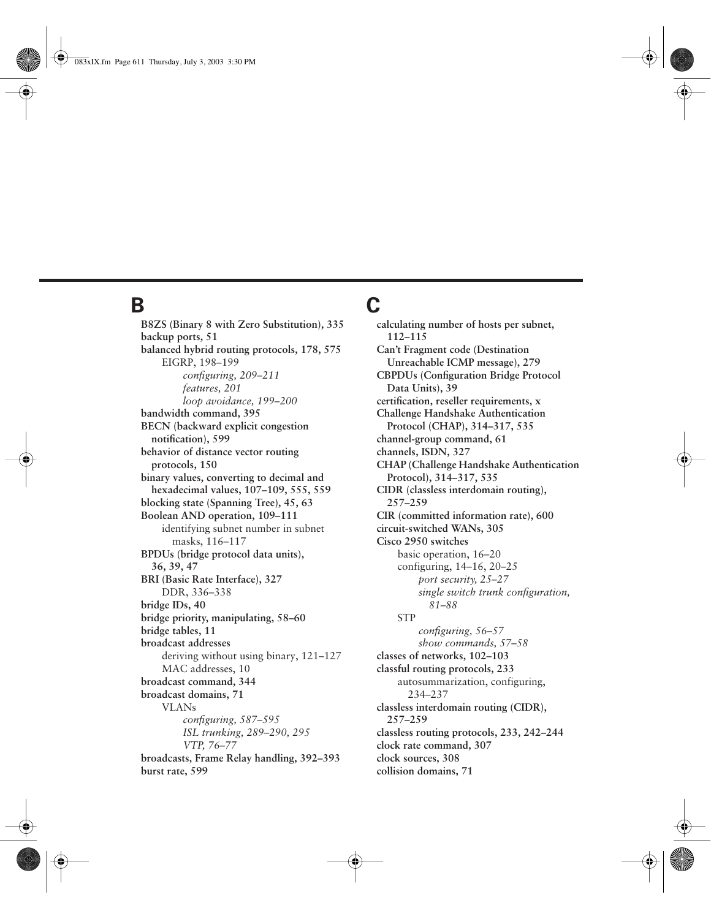### **B**

**B8ZS (Binary 8 with Zero Substitution), 335 backup ports, 51 balanced hybrid routing protocols, 178, 575** EIGRP, 198–199 *configuring, 209–211 features, 201 loop avoidance, 199–200* **bandwidth command, 395 BECN (backward explicit congestion notification), 599 behavior of distance vector routing protocols, 150 binary values, converting to decimal and hexadecimal values, 107–109, 555, 559 blocking state (Spanning Tree), 45, 63 Boolean AND operation, 109–111** identifying subnet number in subnet masks, 116–117 **BPDUs (bridge protocol data units), 36, 39, 47 BRI (Basic Rate Interface), 327** DDR, 336–338 **bridge IDs, 40 bridge priority, manipulating, 58–60 bridge tables, 11 broadcast addresses** deriving without using binary, 121–127 MAC addresses, 10 **broadcast command, 344 broadcast domains, 71** VLANs *configuring, 587–595 ISL trunking, 289–290, 295 VTP, 76–77* **broadcasts, Frame Relay handling, 392–393 burst rate, 599**

### **C**

**calculating number of hosts per subnet, 112–115 Can't Fragment code (Destination Unreachable ICMP message), 279 CBPDUs (Configuration Bridge Protocol Data Units), 39 certification, reseller requirements, x Challenge Handshake Authentication Protocol (CHAP), 314–317, 535 channel-group command, 61 channels, ISDN, 327 CHAP (Challenge Handshake Authentication Protocol), 314–317, 535 CIDR (classless interdomain routing), 257–259 CIR (committed information rate), 600 circuit-switched WANs, 305 Cisco 2950 switches** basic operation, 16–20 configuring, 14–16, 20–25 *port security, 25–27 single switch trunk configuration, 81–88* STP *configuring, 56–57 show commands, 57–58* **classes of networks, 102–103 classful routing protocols, 233** autosummarization, configuring, 234–237 **classless interdomain routing (CIDR), 257–259 classless routing protocols, 233, 242–244 clock rate command, 307 clock sources, 308 collision domains, 71**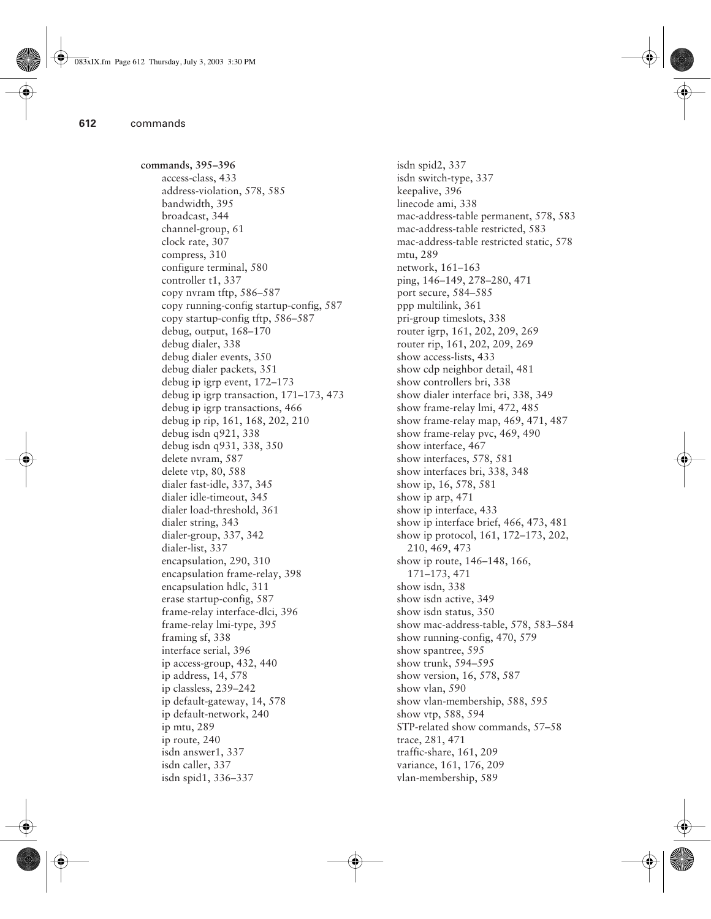**commands, 395–396** access-class, 433 address-violation, 578, 585 bandwidth, 395 broadcast, 344 channel-group, 61 clock rate, 307 compress, 310 configure terminal, 580 controller t1, 337 copy nvram tftp, 586–587 copy running-config startup-config, 587 copy startup-config tftp, 586–587 debug, output, 168–170 debug dialer, 338 debug dialer events, 350 debug dialer packets, 351 debug ip igrp event, 172–173 debug ip igrp transaction, 171–173, 473 debug ip igrp transactions, 466 debug ip rip, 161, 168, 202, 210 debug isdn q921, 338 debug isdn q931, 338, 350 delete nvram, 587 delete vtp, 80, 588 dialer fast-idle, 337, 345 dialer idle-timeout, 345 dialer load-threshold, 361 dialer string, 343 dialer-group, 337, 342 dialer-list, 337 encapsulation, 290, 310 encapsulation frame-relay, 398 encapsulation hdlc, 311 erase startup-config, 587 frame-relay interface-dlci, 396 frame-relay lmi-type, 395 framing sf, 338 interface serial, 396 ip access-group, 432, 440 ip address, 14, 578 ip classless, 239–242 ip default-gateway, 14, 578 ip default-network, 240 ip mtu, 289 ip route, 240 isdn answer1, 337 isdn caller, 337 isdn spid1, 336–337

isdn spid2, 337 isdn switch-type, 337 keepalive, 396 linecode ami, 338 mac-address-table permanent, 578, 583 mac-address-table restricted, 583 mac-address-table restricted static, 578 mtu, 289 network, 161–163 ping, 146–149, 278–280, 471 port secure, 584–585 ppp multilink, 361 pri-group timeslots, 338 router igrp, 161, 202, 209, 269 router rip, 161, 202, 209, 269 show access-lists, 433 show cdp neighbor detail, 481 show controllers bri, 338 show dialer interface bri, 338, 349 show frame-relay lmi, 472, 485 show frame-relay map, 469, 471, 487 show frame-relay pvc, 469, 490 show interface, 467 show interfaces, 578, 581 show interfaces bri, 338, 348 show ip, 16, 578, 581 show ip arp, 471 show ip interface, 433 show ip interface brief, 466, 473, 481 show ip protocol, 161, 172–173, 202, 210, 469, 473 show ip route, 146–148, 166, 171–173, 471 show isdn, 338 show isdn active, 349 show isdn status, 350 show mac-address-table, 578, 583–584 show running-config, 470, 579 show spantree, 595 show trunk, 594–595 show version, 16, 578, 587 show vlan, 590 show vlan-membership, 588, 595 show vtp, 588, 594 STP-related show commands, 57–58 trace, 281, 471 traffic-share, 161, 209 variance, 161, 176, 209 vlan-membership, 589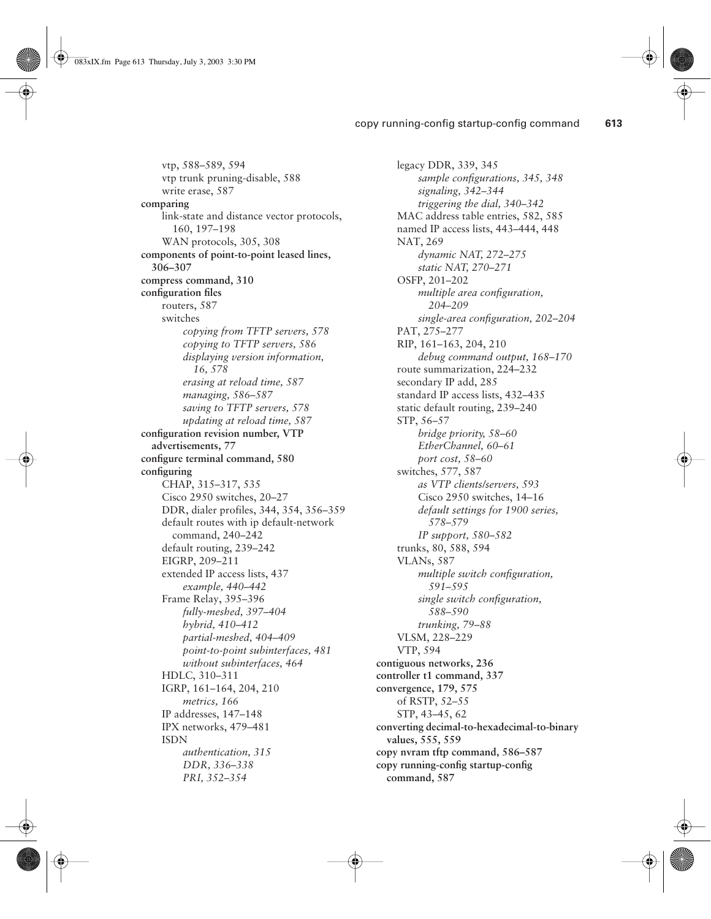vtp, 588–589, 594 vtp trunk pruning-disable, 588 write erase, 587 **comparing** link-state and distance vector protocols, 160, 197–198 WAN protocols, 305, 308 **components of point-to-point leased lines, 306–307 compress command, 310 configuration files** routers, 587 switches *copying from TFTP servers, 578 copying to TFTP servers, 586 displaying version information, 16, 578 erasing at reload time, 587 managing, 586–587 saving to TFTP servers, 578 updating at reload time, 587* **configuration revision number, VTP advertisements, 77 configure terminal command, 580 configuring** CHAP, 315–317, 535 Cisco 2950 switches, 20–27 DDR, dialer profiles, 344, 354, 356–359 default routes with ip default-network command, 240–242 default routing, 239–242 EIGRP, 209–211 extended IP access lists, 437 *example, 440–442* Frame Relay, 395–396 *fully-meshed, 397–404 hybrid, 410–412 partial-meshed, 404–409 point-to-point subinterfaces, 481 without subinterfaces, 464* HDLC, 310–311 IGRP, 161–164, 204, 210 *metrics, 166* IP addresses, 147–148 IPX networks, 479–481 ISDN *authentication, 315 DDR, 336–338 PRI, 352–354*

legacy DDR, 339, 345 *sample configurations, 345, 348 signaling, 342–344 triggering the dial, 340–342* MAC address table entries, 582, 585 named IP access lists, 443–444, 448 NAT, 269 *dynamic NAT, 272–275 static NAT, 270–271* OSFP, 201–202 *multiple area configuration, 204–209 single-area configuration, 202–204* PAT, 275–277 RIP, 161–163, 204, 210 *debug command output, 168–170* route summarization, 224–232 secondary IP add, 285 standard IP access lists, 432–435 static default routing, 239–240 STP, 56–57 *bridge priority, 58–60 EtherChannel, 60–61 port cost, 58–60* switches, 577, 587 *as VTP clients/servers, 593* Cisco 2950 switches, 14–16 *default settings for 1900 series, 578–579 IP support, 580–582* trunks, 80, 588, 594 VLANs, 587 *multiple switch configuration, 591–595 single switch configuration, 588–590 trunking, 79–88* VLSM, 228–229 VTP, 594 **contiguous networks, 236 controller t1 command, 337 convergence, 179, 575** of RSTP, 52–55 STP, 43–45, 62 **converting decimal-to-hexadecimal-to-binary values, 555, 559 copy nvram tftp command, 586–587 copy running-config startup-config command, 587**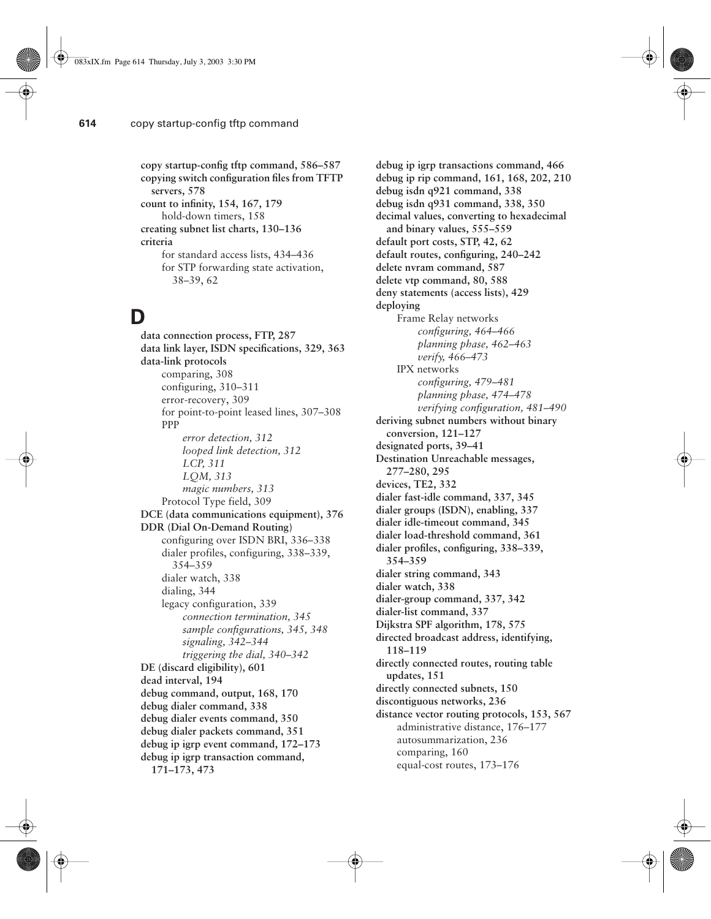**copy startup-config tftp command, 586–587 copying switch configuration files from TFTP servers, 578 count to infinity, 154, 167, 179** hold-down timers, 158 **creating subnet list charts, 130–136 criteria** for standard access lists, 434–436 for STP forwarding state activation, 38–39, 62

## **D**

**data connection process, FTP, 287 data link layer, ISDN specifications, 329, 363 data-link protocols** comparing, 308 configuring, 310–311 error-recovery, 309 for point-to-point leased lines, 307–308 PPP *error detection, 312 looped link detection, 312 LCP, 311 LQM, 313 magic numbers, 313* Protocol Type field, 309 **DCE (data communications equipment), 376 DDR (Dial On-Demand Routing)** configuring over ISDN BRI, 336–338 dialer profiles, configuring, 338–339, 354–359 dialer watch, 338 dialing, 344 legacy configuration, 339 *connection termination, 345 sample configurations, 345, 348 signaling, 342–344 triggering the dial, 340–342* **DE (discard eligibility), 601 dead interval, 194 debug command, output, 168, 170 debug dialer command, 338 debug dialer events command, 350 debug dialer packets command, 351 debug ip igrp event command, 172–173 debug ip igrp transaction command, 171–173, 473**

**debug ip igrp transactions command, 466 debug ip rip command, 161, 168, 202, 210 debug isdn q921 command, 338 debug isdn q931 command, 338, 350 decimal values, converting to hexadecimal and binary values, 555–559 default port costs, STP, 42, 62 default routes, configuring, 240–242 delete nvram command, 587 delete vtp command, 80, 588 deny statements (access lists), 429 deploying** Frame Relay networks *configuring, 464–466 planning phase, 462–463 verify, 466–473* IPX networks *configuring, 479–481 planning phase, 474–478 verifying configuration, 481–490* **deriving subnet numbers without binary conversion, 121–127 designated ports, 39–41 Destination Unreachable messages, 277–280, 295 devices, TE2, 332 dialer fast-idle command, 337, 345 dialer groups (ISDN), enabling, 337 dialer idle-timeout command, 345 dialer load-threshold command, 361 dialer profiles, configuring, 338–339, 354–359 dialer string command, 343 dialer watch, 338 dialer-group command, 337, 342 dialer-list command, 337 Dijkstra SPF algorithm, 178, 575 directed broadcast address, identifying, 118–119 directly connected routes, routing table updates, 151 directly connected subnets, 150 discontiguous networks, 236 distance vector routing protocols, 153, 567** administrative distance, 176–177 autosummarization, 236 comparing, 160 equal-cost routes, 173–176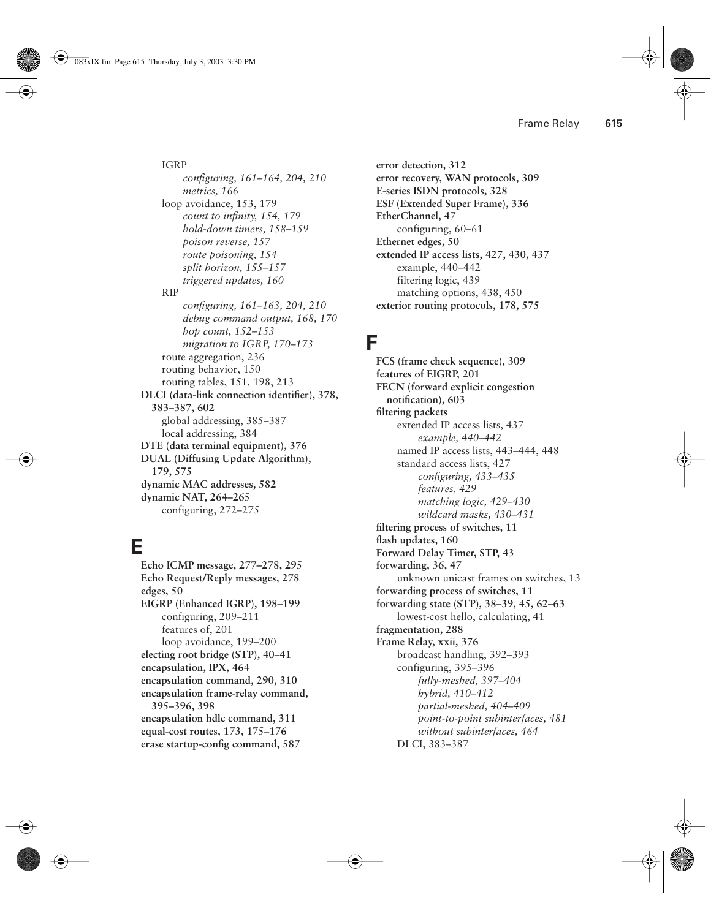IGRP *configuring, 161–164, 204, 210 metrics, 166* loop avoidance, 153, 179 *count to infinity, 154, 179 hold-down timers, 158–159 poison reverse, 157 route poisoning, 154 split horizon, 155–157 triggered updates, 160* RIP *configuring, 161–163, 204, 210 debug command output, 168, 170 hop count, 152–153 migration to IGRP, 170–173* route aggregation, 236 routing behavior, 150 routing tables, 151, 198, 213 **DLCI (data-link connection identifier), 378, 383–387, 602** global addressing, 385–387 local addressing, 384 **DTE (data terminal equipment), 376 DUAL (Diffusing Update Algorithm), 179, 575 dynamic MAC addresses, 582 dynamic NAT, 264–265** configuring, 272–275

### **E**

**Echo ICMP message, 277–278, 295 Echo Request/Reply messages, 278 edges, 50 EIGRP (Enhanced IGRP), 198–199** configuring, 209–211 features of, 201 loop avoidance, 199–200 **electing root bridge (STP), 40–41 encapsulation, IPX, 464 encapsulation command, 290, 310 encapsulation frame-relay command, 395–396, 398 encapsulation hdlc command, 311 equal-cost routes, 173, 175–176 erase startup-config command, 587**

**error detection, 312 error recovery, WAN protocols, 309 E-series ISDN protocols, 328 ESF (Extended Super Frame), 336 EtherChannel, 47** configuring, 60–61 **Ethernet edges, 50 extended IP access lists, 427, 430, 437** example, 440–442 filtering logic, 439 matching options, 438, 450 **exterior routing protocols, 178, 575**

#### **F**

**FCS (frame check sequence), 309 features of EIGRP, 201 FECN (forward explicit congestion notification), 603 filtering packets** extended IP access lists, 437 *example, 440–442* named IP access lists, 443–444, 448 standard access lists, 427 *configuring, 433–435 features, 429 matching logic, 429–430 wildcard masks, 430–431* **filtering process of switches, 11 flash updates, 160 Forward Delay Timer, STP, 43 forwarding, 36, 47** unknown unicast frames on switches, 13 **forwarding process of switches, 11 forwarding state (STP), 38–39, 45, 62–63** lowest-cost hello, calculating, 41 **fragmentation, 288 Frame Relay, xxii, 376** broadcast handling, 392–393 configuring, 395–396 *fully-meshed, 397–404 hybrid, 410–412 partial-meshed, 404–409 point-to-point subinterfaces, 481 without subinterfaces, 464* DLCI, 383–387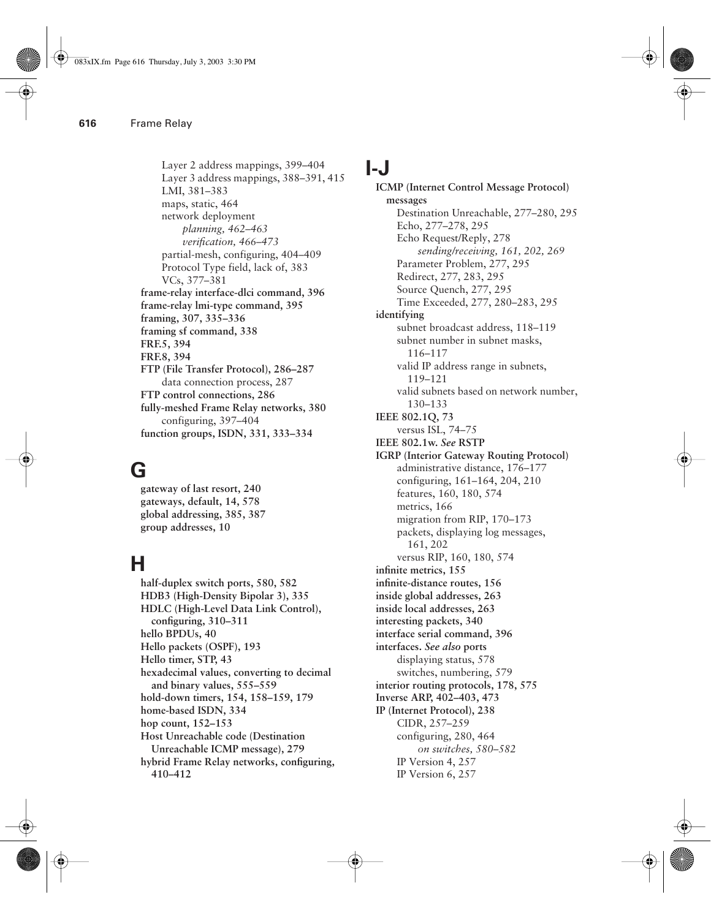Layer 2 address mappings, 399–404 Layer 3 address mappings, 388–391, 415 LMI, 381–383 maps, static, 464 network deployment *planning, 462–463 verification, 466–473* partial-mesh, configuring, 404–409 Protocol Type field, lack of, 383 VCs, 377–381 **frame-relay interface-dlci command, 396 frame-relay lmi-type command, 395 framing, 307, 335–336 framing sf command, 338 FRF.5, 394 FRF.8, 394 FTP (File Transfer Protocol), 286–287** data connection process, 287 **FTP control connections, 286 fully-meshed Frame Relay networks, 380** configuring, 397–404 **function groups, ISDN, 331, 333–334**

## **G**

**gateway of last resort, 240 gateways, default, 14, 578 global addressing, 385, 387 group addresses, 10**

## **H**

**half-duplex switch ports, 580, 582 HDB3 (High-Density Bipolar 3), 335 HDLC (High-Level Data Link Control), configuring, 310–311 hello BPDUs, 40 Hello packets (OSPF), 193 Hello timer, STP, 43 hexadecimal values, converting to decimal and binary values, 555–559 hold-down timers, 154, 158–159, 179 home-based ISDN, 334 hop count, 152–153 Host Unreachable code (Destination Unreachable ICMP message), 279 hybrid Frame Relay networks, configuring, 410–412**

## **I-J**

**ICMP (Internet Control Message Protocol) messages**  Destination Unreachable, 277–280, 295 Echo, 277–278, 295 Echo Request/Reply, 278 *sending/receiving, 161, 202, 269* Parameter Problem, 277, 295 Redirect, 277, 283, 295 Source Quench, 277, 295 Time Exceeded, 277, 280–283, 295 **identifying** subnet broadcast address, 118–119 subnet number in subnet masks, 116–117 valid IP address range in subnets, 119–121 valid subnets based on network number, 130–133 **IEEE 802.1Q, 73** versus ISL, 74–75 **IEEE 802.1w.** *See* **RSTP IGRP (Interior Gateway Routing Protocol)** administrative distance, 176–177 configuring, 161–164, 204, 210 features, 160, 180, 574 metrics, 166 migration from RIP, 170–173 packets, displaying log messages, 161, 202 versus RIP, 160, 180, 574 **infinite metrics, 155 infinite-distance routes, 156 inside global addresses, 263 inside local addresses, 263 interesting packets, 340 interface serial command, 396 interfaces.** *See also* **ports** displaying status, 578 switches, numbering, 579 **interior routing protocols, 178, 575 Inverse ARP, 402–403, 473 IP (Internet Protocol), 238** CIDR, 257–259 configuring, 280, 464 *on switches, 580–582* IP Version 4, 257 IP Version 6, 257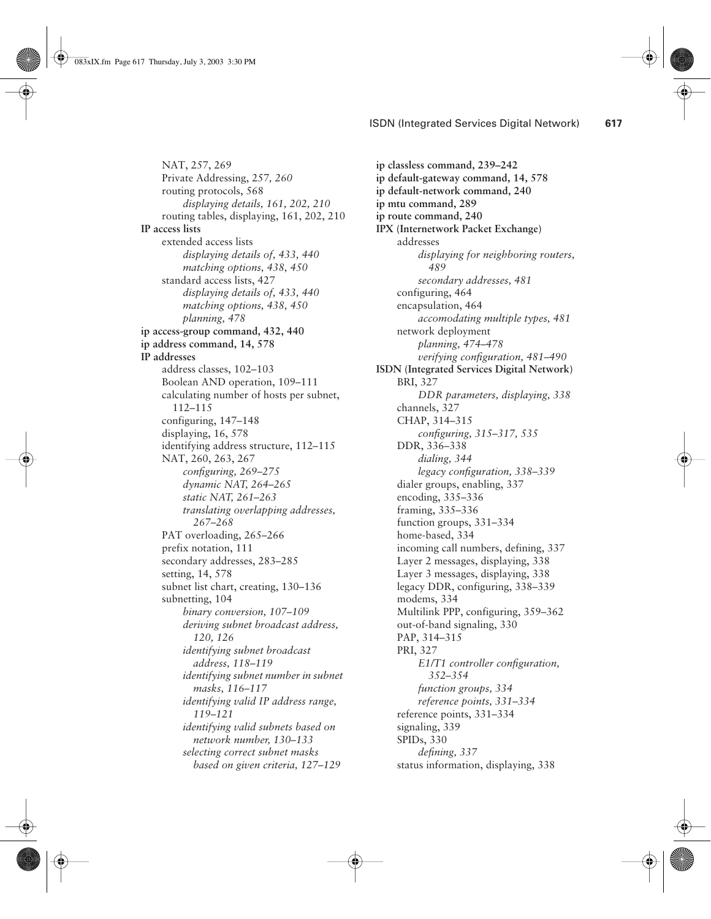NAT, 257, 269 Private Addressing, 257*, 260* routing protocols, 568 *displaying details, 161, 202, 210* routing tables, displaying, 161, 202, 210 **IP access lists** extended access lists *displaying details of, 433, 440 matching options, 438, 450* standard access lists, 427 *displaying details of, 433, 440 matching options, 438, 450 planning, 478* **ip access-group command, 432, 440 ip address command, 14, 578 IP addresses** address classes, 102–103 Boolean AND operation, 109–111 calculating number of hosts per subnet, 112–115 configuring, 147–148 displaying, 16, 578 identifying address structure, 112–115 NAT, 260, 263, 267 *configuring, 269–275 dynamic NAT, 264–265 static NAT, 261–263 translating overlapping addresses, 267–268* PAT overloading, 265-266 prefix notation, 111 secondary addresses, 283–285 setting, 14, 578 subnet list chart, creating, 130–136 subnetting, 104 *binary conversion, 107–109 deriving subnet broadcast address, 120, 126 identifying subnet broadcast address, 118–119 identifying subnet number in subnet masks, 116–117 identifying valid IP address range, 119–121 identifying valid subnets based on network number, 130–133 selecting correct subnet masks based on given criteria, 127–129*

**ip classless command, 239–242 ip default-gateway command, 14, 578 ip default-network command, 240 ip mtu command, 289 ip route command, 240 IPX (Internetwork Packet Exchange)** addresses *displaying for neighboring routers, 489 secondary addresses, 481* configuring, 464 encapsulation, 464 *accomodating multiple types, 481* network deployment *planning, 474–478 verifying configuration, 481–490* **ISDN (Integrated Services Digital Network)** BRI, 327 *DDR parameters, displaying, 338* channels, 327 CHAP, 314–315 *configuring, 315–317, 535* DDR, 336–338 *dialing, 344 legacy configuration, 338–339* dialer groups, enabling, 337 encoding, 335–336 framing, 335–336 function groups, 331–334 home-based, 334 incoming call numbers, defining, 337 Layer 2 messages, displaying, 338 Layer 3 messages, displaying, 338 legacy DDR, configuring, 338–339 modems, 334 Multilink PPP, configuring, 359–362 out-of-band signaling, 330 PAP, 314–315 PRI, 327 *E1/T1 controller configuration, 352–354 function groups, 334 reference points, 331–334* reference points, 331–334 signaling, 339 SPIDs, 330 *defining, 337* status information, displaying, 338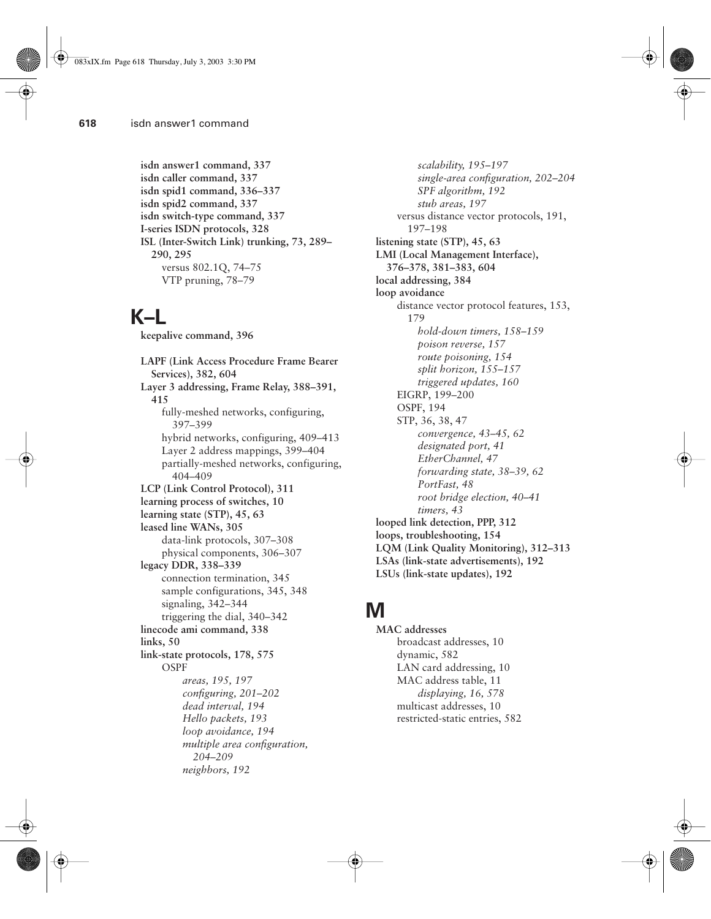**isdn answer1 command, 337 isdn caller command, 337 isdn spid1 command, 336–337 isdn spid2 command, 337 isdn switch-type command, 337 I-series ISDN protocols, 328 ISL (Inter-Switch Link) trunking, 73, 289– 290, 295** versus 802.1Q, 74–75 VTP pruning, 78–79

## **K–L**

**keepalive command, 396**

**LAPF (Link Access Procedure Frame Bearer Services), 382, 604 Layer 3 addressing, Frame Relay, 388–391, 415** fully-meshed networks, configuring, 397–399 hybrid networks, configuring, 409–413 Layer 2 address mappings, 399–404 partially-meshed networks, configuring, 404–409 **LCP (Link Control Protocol), 311 learning process of switches, 10 learning state (STP), 45, 63 leased line WANs, 305** data-link protocols, 307–308 physical components, 306–307 **legacy DDR, 338–339** connection termination, 345 sample configurations, 345, 348 signaling, 342–344 triggering the dial, 340–342 **linecode ami command, 338 links, 50 link-state protocols, 178, 575** OSPF *areas, 195, 197 configuring, 201–202 dead interval, 194 Hello packets, 193 loop avoidance, 194 multiple area configuration, 204–209 neighbors, 192*

*scalability, 195–197 single-area configuration, 202–204 SPF algorithm, 192 stub areas, 197* versus distance vector protocols, 191, 197–198 **listening state (STP), 45, 63 LMI (Local Management Interface), 376–378, 381–383, 604 local addressing, 384 loop avoidance** distance vector protocol features, 153, 179 *hold-down timers, 158–159 poison reverse, 157 route poisoning, 154 split horizon, 155–157 triggered updates, 160* EIGRP, 199–200 OSPF, 194 STP, 36, 38, 47 *convergence, 43–45, 62 designated port, 41 EtherChannel, 47 forwarding state, 38–39, 62 PortFast, 48 root bridge election, 40–41 timers, 43* **looped link detection, PPP, 312 loops, troubleshooting, 154 LQM (Link Quality Monitoring), 312–313 LSAs (link-state advertisements), 192 LSUs (link-state updates), 192**

## **M**

**MAC addresses** broadcast addresses, 10 dynamic, 582 LAN card addressing, 10 MAC address table, 11 *displaying, 16, 578* multicast addresses, 10 restricted-static entries, 582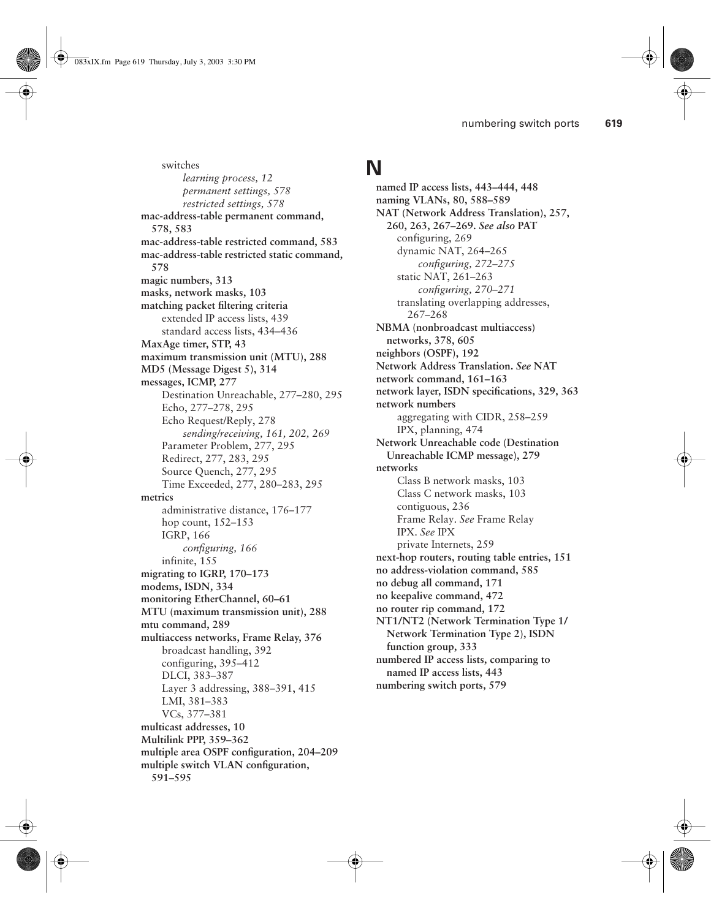switches *learning process, 12 permanent settings, 578 restricted settings, 578* **mac-address-table permanent command, 578, 583 mac-address-table restricted command, 583 mac-address-table restricted static command, 578 magic numbers, 313 masks, network masks, 103 matching packet filtering criteria** extended IP access lists, 439 standard access lists, 434–436 **MaxAge timer, STP, 43 maximum transmission unit (MTU), 288 MD5 (Message Digest 5), 314 messages, ICMP, 277** Destination Unreachable, 277–280, 295 Echo, 277–278, 295 Echo Request/Reply, 278 *sending/receiving, 161, 202, 269* Parameter Problem, 277, 295 Redirect, 277, 283, 295 Source Quench, 277, 295 Time Exceeded, 277, 280–283, 295 **metrics** administrative distance, 176–177 hop count, 152–153 IGRP, 166 *configuring, 166* infinite, 155 **migrating to IGRP, 170–173 modems, ISDN, 334 monitoring EtherChannel, 60–61 MTU (maximum transmission unit), 288 mtu command, 289 multiaccess networks, Frame Relay, 376** broadcast handling, 392 configuring, 395–412 DLCI, 383–387 Layer 3 addressing, 388–391, 415 LMI, 381–383 VCs, 377–381 **multicast addresses, 10 Multilink PPP, 359–362 multiple area OSPF configuration, 204–209 multiple switch VLAN configuration,** 

**591–595**

## **N**

**named IP access lists, 443–444, 448 naming VLANs, 80, 588–589 NAT (Network Address Translation), 257, 260, 263, 267–269.** *See also* **PAT** configuring, 269 dynamic NAT, 264–265 *configuring, 272–275* static NAT, 261–263 *configuring, 270–271* translating overlapping addresses, 267–268 **NBMA (nonbroadcast multiaccess) networks, 378, 605 neighbors (OSPF), 192 Network Address Translation.** *See* **NAT network command, 161–163 network layer, ISDN specifications, 329, 363 network numbers** aggregating with CIDR, 258–259 IPX, planning, 474 **Network Unreachable code (Destination Unreachable ICMP message), 279 networks** Class B network masks, 103 Class C network masks, 103 contiguous, 236 Frame Relay. *See* Frame Relay IPX. *See* IPX private Internets, 259 **next-hop routers, routing table entries, 151 no address-violation command, 585 no debug all command, 171 no keepalive command, 472 no router rip command, 172 NT1/NT2 (Network Termination Type 1/ Network Termination Type 2), ISDN function group, 333 numbered IP access lists, comparing to named IP access lists, 443 numbering switch ports, 579**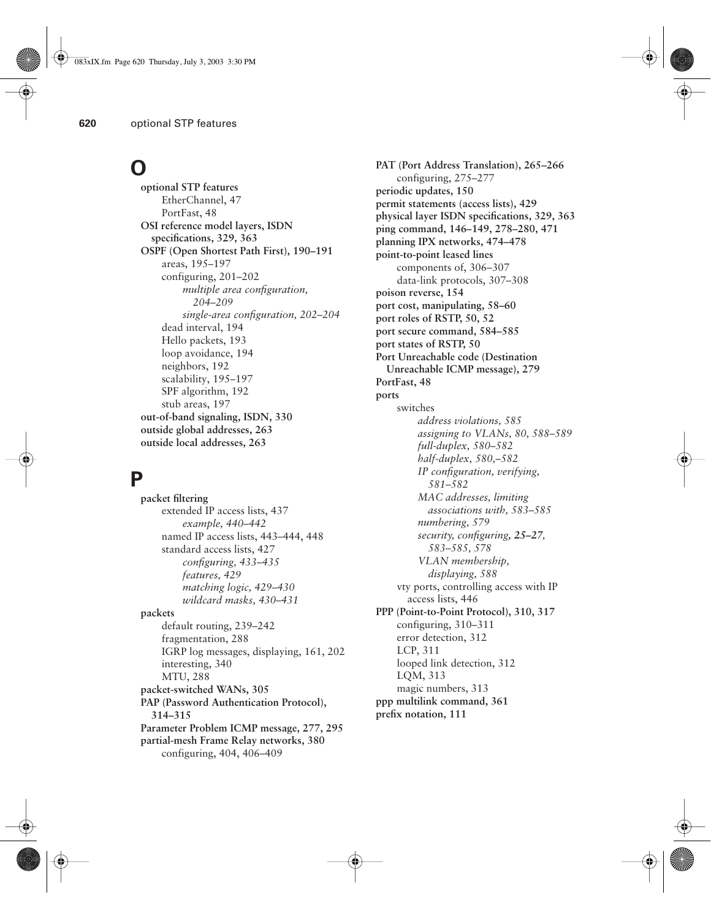### **O**

**optional STP features** EtherChannel, 47 PortFast, 48 **OSI reference model layers, ISDN specifications, 329, 363 OSPF (Open Shortest Path First), 190–191** areas, 195–197 configuring, 201–202 *multiple area configuration, 204–209 single-area configuration, 202–204* dead interval, 194 Hello packets, 193 loop avoidance, 194 neighbors, 192 scalability, 195–197 SPF algorithm, 192 stub areas, 197 **out-of-band signaling, ISDN, 330 outside global addresses, 263 outside local addresses, 263**

### **P**

**packet filtering** extended IP access lists, 437 *example, 440–442* named IP access lists, 443–444, 448 standard access lists, 427 *configuring, 433–435 features, 429 matching logic, 429–430 wildcard masks, 430–431* **packets** default routing, 239–242 fragmentation, 288 IGRP log messages, displaying, 161, 202 interesting, 340 MTU, 288 **packet-switched WANs, 305 PAP (Password Authentication Protocol), 314–315 Parameter Problem ICMP message, 277, 295 partial-mesh Frame Relay networks, 380** configuring, 404, 406–409

**PAT (Port Address Translation), 265–266** configuring, 275–277 **periodic updates, 150 permit statements (access lists), 429 physical layer ISDN specifications, 329, 363 ping command, 146–149, 278–280, 471 planning IPX networks, 474–478 point-to-point leased lines** components of, 306–307 data-link protocols, 307–308 **poison reverse, 154 port cost, manipulating, 58–60 port roles of RSTP, 50, 52 port secure command, 584–585 port states of RSTP, 50 Port Unreachable code (Destination Unreachable ICMP message), 279 PortFast, 48 ports** switches *address violations, 585 assigning to VLANs, 80, 588–589 full-duplex, 580–582 half-duplex, 580,–582 IP configuration, verifying, 581–582 MAC addresses, limiting associations with, 583–585 numbering, 579 security, configuring, 25–27, 583–585, 578 VLAN membership, displaying, 588* vty ports, controlling access with IP access lists, 446 **PPP (Point-to-Point Protocol), 310, 317** configuring, 310–311 error detection, 312 LCP, 311 looped link detection, 312 LQM, 313 magic numbers, 313 **ppp multilink command, 361 prefix notation, 111**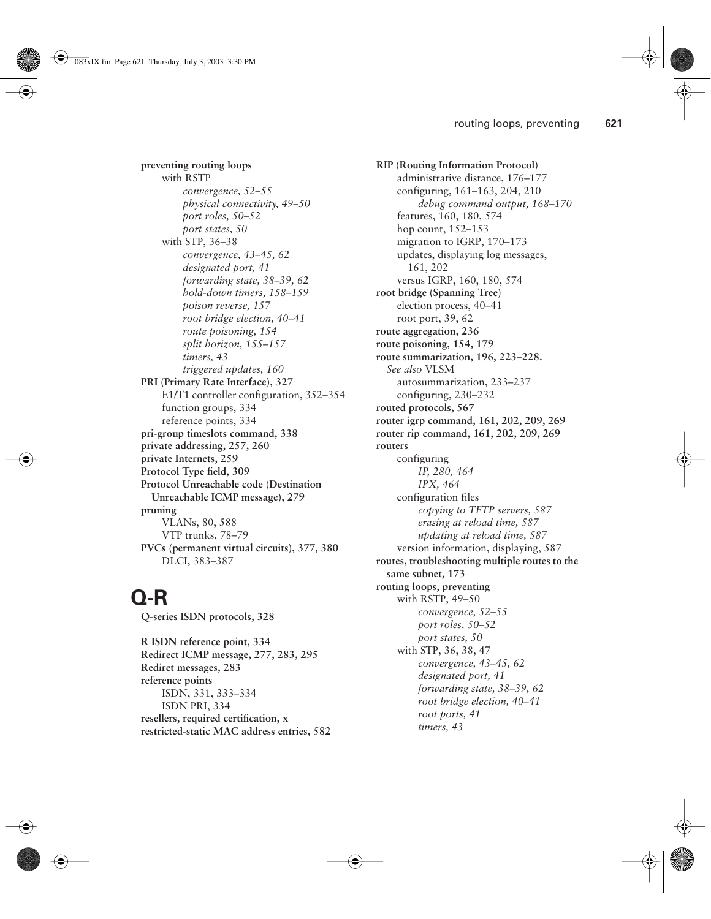**preventing routing loops** with RSTP *convergence, 52–55 physical connectivity, 49–50 port roles, 50–52 port states, 50* with STP, 36–38 *convergence, 43–45, 62 designated port, 41 forwarding state, 38–39, 62 hold-down timers, 158–159 poison reverse, 157 root bridge election, 40–41 route poisoning, 154 split horizon, 155–157 timers, 43 triggered updates, 160* **PRI (Primary Rate Interface), 327** E1/T1 controller configuration, 352–354 function groups, 334 reference points, 334 **pri-group timeslots command, 338 private addressing, 257, 260 private Internets, 259 Protocol Type field, 309 Protocol Unreachable code (Destination Unreachable ICMP message), 279 pruning** VLANs, 80, 588 VTP trunks, 78–79 **PVCs (permanent virtual circuits), 377, 380** DLCI, 383–387

## **Q-R**

**Q-series ISDN protocols, 328**

**R ISDN reference point, 334 Redirect ICMP message, 277, 283, 295 Rediret messages, 283 reference points** ISDN, 331, 333–334 ISDN PRI, 334 **resellers, required certification, x restricted-static MAC address entries, 582**

**RIP (Routing Information Protocol)** administrative distance, 176–177 configuring, 161–163, 204, 210 *debug command output, 168–170* features, 160, 180, 574 hop count, 152–153 migration to IGRP, 170–173 updates, displaying log messages, 161, 202 versus IGRP, 160, 180, 574 **root bridge (Spanning Tree)** election process, 40–41 root port, 39, 62 **route aggregation, 236 route poisoning, 154, 179 route summarization, 196, 223–228.**  *See also* VLSM autosummarization, 233–237 configuring, 230–232 **routed protocols, 567 router igrp command, 161, 202, 209, 269 router rip command, 161, 202, 209, 269 routers** configuring *IP, 280, 464 IPX, 464* configuration files *copying to TFTP servers, 587 erasing at reload time, 587 updating at reload time, 587* version information, displaying, 587 **routes, troubleshooting multiple routes to the same subnet, 173 routing loops, preventing** with RSTP, 49–50 *convergence, 52–55 port roles, 50–52 port states, 50* with STP, 36, 38, 47 *convergence, 43–45, 62 designated port, 41 forwarding state, 38–39, 62 root bridge election, 40–41 root ports, 41 timers, 43*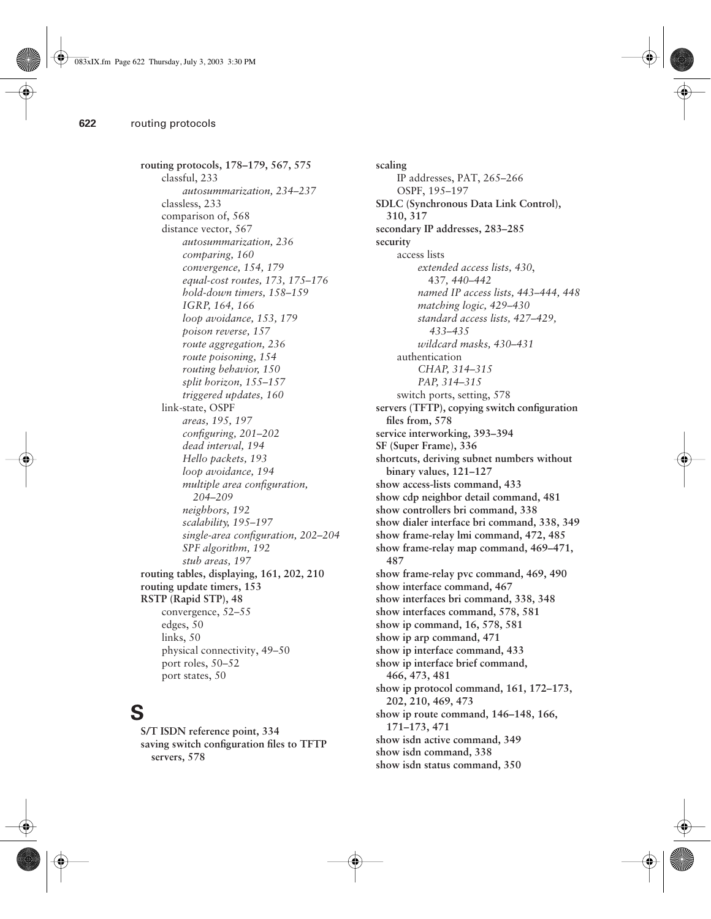**routing protocols, 178–179, 567, 575** classful, 233 *autosummarization, 234–237* classless, 233 comparison of, 568 distance vector, 567 *autosummarization, 236 comparing, 160 convergence, 154, 179 equal-cost routes, 173, 175–176 hold-down timers, 158–159 IGRP, 164, 166 loop avoidance, 153, 179 poison reverse, 157 route aggregation, 236 route poisoning, 154 routing behavior, 150 split horizon, 155–157 triggered updates, 160* link-state, OSPF *areas, 195, 197 configuring, 201–202 dead interval, 194 Hello packets, 193 loop avoidance, 194 multiple area configuration, 204–209 neighbors, 192 scalability, 195–197 single-area configuration, 202–204 SPF algorithm, 192 stub areas, 197* **routing tables, displaying, 161, 202, 210 routing update timers, 153 RSTP (Rapid STP), 48** convergence, 52–55 edges, 50 links, 50 physical connectivity, 49–50 port roles, 50–52 port states, 50

### **S**

**S/T ISDN reference point, 334 saving switch configuration files to TFTP servers, 578**

**scaling**  IP addresses, PAT, 265–266 OSPF, 195–197 **SDLC (Synchronous Data Link Control), 310, 317 secondary IP addresses, 283–285 security** access lists *extended access lists, 430*, 437*, 440–442 named IP access lists, 443–444, 448 matching logic, 429–430 standard access lists, 427–429, 433–435 wildcard masks, 430–431* authentication *CHAP, 314–315 PAP, 314–315* switch ports, setting, 578 **servers (TFTP), copying switch configuration files from, 578 service interworking, 393–394 SF (Super Frame), 336 shortcuts, deriving subnet numbers without binary values, 121–127 show access-lists command, 433 show cdp neighbor detail command, 481 show controllers bri command, 338 show dialer interface bri command, 338, 349 show frame-relay lmi command, 472, 485 show frame-relay map command, 469–471, 487 show frame-relay pvc command, 469, 490 show interface command, 467 show interfaces bri command, 338, 348 show interfaces command, 578, 581 show ip command, 16, 578, 581 show ip arp command, 471 show ip interface command, 433 show ip interface brief command, 466, 473, 481 show ip protocol command, 161, 172–173, 202, 210, 469, 473 show ip route command, 146–148, 166, 171–173, 471 show isdn active command, 349 show isdn command, 338 show isdn status command, 350**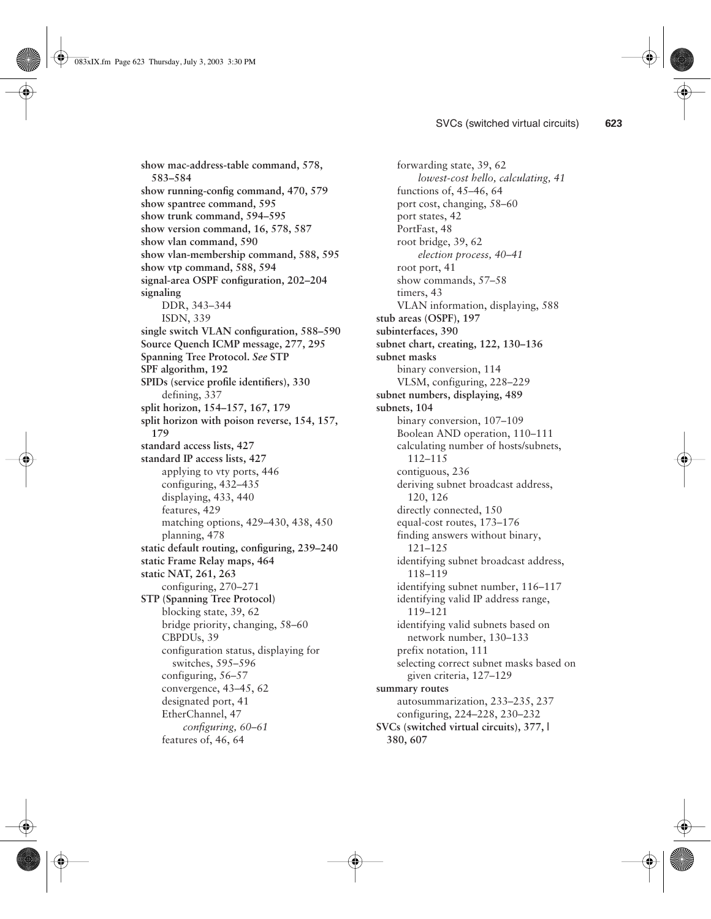**show mac-address-table command, 578, 583–584 show running-config command, 470, 579 show spantree command, 595 show trunk command, 594–595 show version command, 16, 578, 587 show vlan command, 590 show vlan-membership command, 588, 595 show vtp command, 588, 594 signal-area OSPF configuration, 202–204 signaling** DDR, 343–344 ISDN, 339 **single switch VLAN configuration, 588–590 Source Quench ICMP message, 277, 295 Spanning Tree Protocol.** *See* **STP SPF algorithm, 192 SPIDs (service profile identifiers), 330** defining, 337 **split horizon, 154–157, 167, 179 split horizon with poison reverse, 154, 157, 179 standard access lists, 427 standard IP access lists, 427** applying to vty ports, 446 configuring, 432–435 displaying, 433, 440 features, 429 matching options, 429–430, 438, 450 planning, 478 **static default routing, configuring, 239–240 static Frame Relay maps, 464 static NAT, 261, 263** configuring, 270–271 **STP (Spanning Tree Protocol)** blocking state, 39, 62 bridge priority, changing, 58–60 CBPDUs, 39 configuration status, displaying for switches, 595–596 configuring, 56–57 convergence, 43–45, 62 designated port, 41 EtherChannel, 47 *configuring, 60–61* features of, 46, 64

forwarding state, 39, 62 *lowest-cost hello, calculating, 41* functions of, 45–46, 64 port cost, changing, 58–60 port states, 42 PortFast, 48 root bridge, 39, 62 *election process, 40–41* root port, 41 show commands, 57–58 timers, 43 VLAN information, displaying, 588 **stub areas (OSPF), 197 subinterfaces, 390 subnet chart, creating, 122, 130–136 subnet masks** binary conversion, 114 VLSM, configuring, 228–229 **subnet numbers, displaying, 489 subnets, 104** binary conversion, 107–109 Boolean AND operation, 110–111 calculating number of hosts/subnets, 112–115 contiguous, 236 deriving subnet broadcast address, 120, 126 directly connected, 150 equal-cost routes, 173–176 finding answers without binary, 121–125 identifying subnet broadcast address, 118–119 identifying subnet number, 116–117 identifying valid IP address range, 119–121 identifying valid subnets based on network number, 130–133 prefix notation, 111 selecting correct subnet masks based on given criteria, 127–129 **summary routes** autosummarization, 233–235, 237 configuring, 224–228, 230–232 **SVCs (switched virtual circuits), 377, | 380, 607**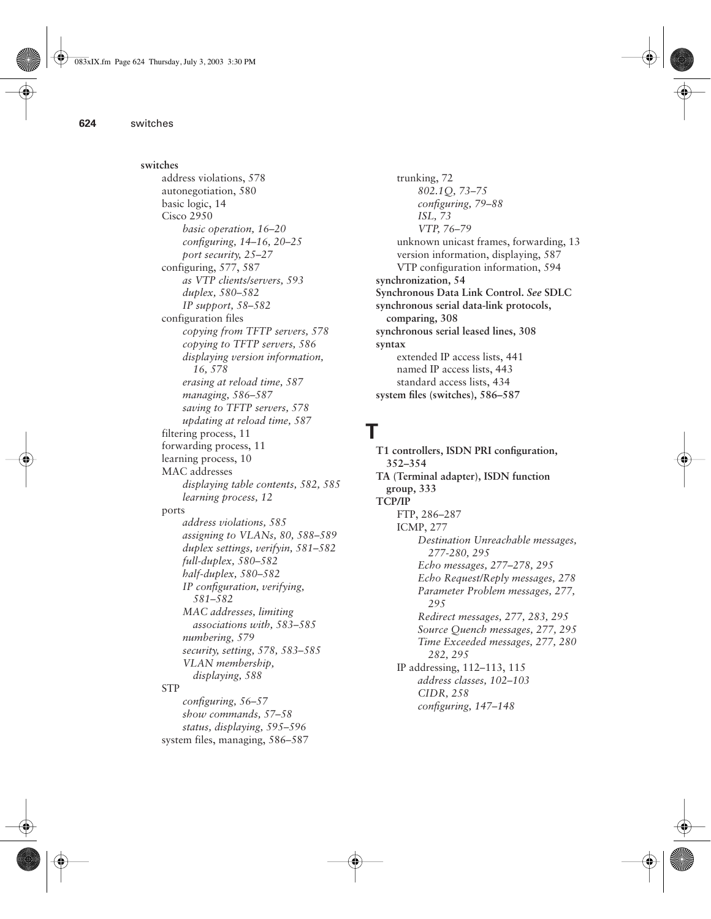**switches** address violations, 578 autonegotiation, 580 basic logic, 14 Cisco 2950 *basic operation, 16–20 configuring, 14–16, 20–25 port security, 25–27* configuring, 577, 587 *as VTP clients/servers, 593 duplex, 580–582 IP support, 58–582* configuration files *copying from TFTP servers, 578 copying to TFTP servers, 586 displaying version information, 16, 578 erasing at reload time, 587 managing, 586–587 saving to TFTP servers, 578 updating at reload time, 587* filtering process, 11 forwarding process, 11 learning process, 10 MAC addresses *displaying table contents, 582, 585 learning process, 12* ports *address violations, 585 assigning to VLANs, 80, 588–589 duplex settings, verifyin, 581–582 full-duplex, 580–582 half-duplex, 580–582 IP configuration, verifying, 581–582 MAC addresses, limiting associations with, 583–585 numbering, 579 security, setting, 578, 583–585 VLAN membership, displaying, 588* STP *configuring, 56–57 show commands, 57–58 status, displaying, 595–596* system files, managing, 586–587

trunking, 72 *802.1Q, 73–75 configuring, 79–88 ISL, 73 VTP, 76–79* unknown unicast frames, forwarding, 13 version information, displaying, 587 VTP configuration information, 594 **synchronization, 54 Synchronous Data Link Control.** *See* **SDLC synchronous serial data-link protocols, comparing, 308 synchronous serial leased lines, 308 syntax** extended IP access lists, 441 named IP access lists, 443 standard access lists, 434 **system files (switches), 586–587**

## **T**

**T1 controllers, ISDN PRI configuration, 352–354 TA (Terminal adapter), ISDN function group, 333 TCP/IP** FTP, 286–287 ICMP, 277 *Destination Unreachable messages, 277-280, 295 Echo messages, 277–278, 295 Echo Request/Reply messages, 278 Parameter Problem messages, 277, 295 Redirect messages, 277, 283, 295 Source Quench messages, 277, 295 Time Exceeded messages, 277, 280 282, 295* IP addressing, 112–113, 115 *address classes, 102–103 CIDR, 258 configuring, 147–148*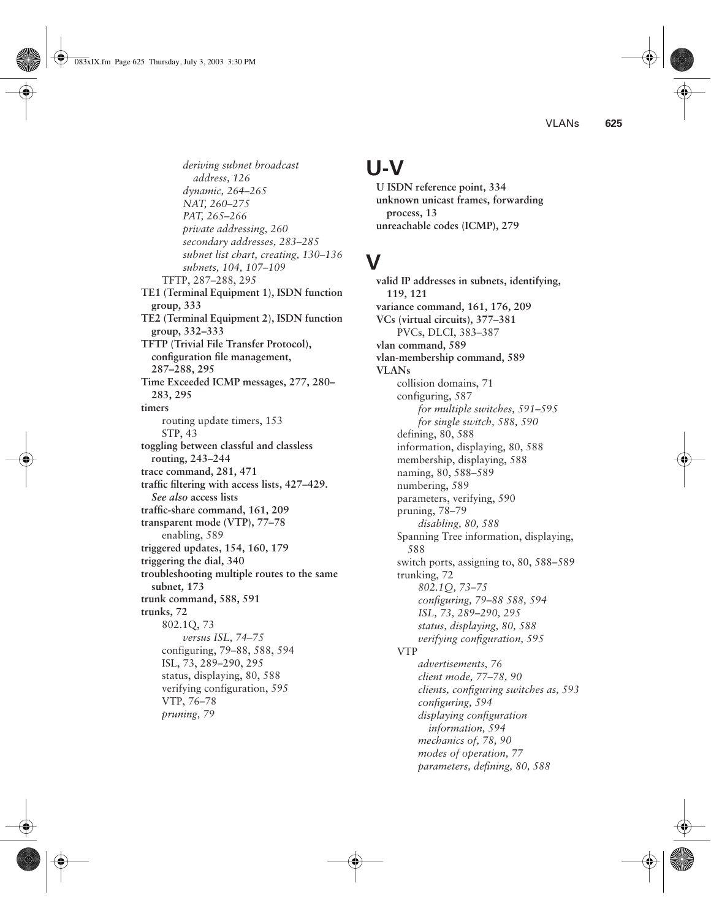*deriving subnet broadcast address, 126 dynamic, 264–265 NAT, 260–275 PAT, 265–266 private addressing, 260 secondary addresses, 283–285 subnet list chart, creating, 130–136 subnets, 104, 107–109* TFTP, 287–288, 295 **TE1 (Terminal Equipment 1), ISDN function group, 333 TE2 (Terminal Equipment 2), ISDN function group, 332–333 TFTP (Trivial File Transfer Protocol), configuration file management, 287–288, 295 Time Exceeded ICMP messages, 277, 280– 283, 295 timers** routing update timers, 153 STP, 43 **toggling between classful and classless routing, 243–244 trace command, 281, 471 traffic filtering with access lists, 427–429.** *See also* **access lists traffic-share command, 161, 209 transparent mode (VTP), 77–78** enabling, 589 **triggered updates, 154, 160, 179 triggering the dial, 340 troubleshooting multiple routes to the same subnet, 173 trunk command, 588, 591 trunks, 72** 802.1Q, 73 *versus ISL, 74–75* configuring, 79–88, 588, 594 ISL, 73, 289–290, 295 status, displaying, 80, 588 verifying configuration, 595 VTP, 76–78 *pruning, 79*

## **U-V**

**U ISDN reference point, 334 unknown unicast frames, forwarding process, 13 unreachable codes (ICMP), 279**

## **V**

**valid IP addresses in subnets, identifying, 119, 121 variance command, 161, 176, 209 VCs (virtual circuits), 377–381** PVCs, DLCI, 383–387 **vlan command, 589 vlan-membership command, 589 VLANs** collision domains, 71 configuring, 587 *for multiple switches, 591–595 for single switch, 588, 590* defining, 80, 588 information, displaying, 80, 588 membership, displaying, 588 naming, 80, 588–589 numbering, 589 parameters, verifying, 590 pruning, 78–79 *disabling, 80, 588* Spanning Tree information, displaying, 588 switch ports, assigning to, 80, 588–589 trunking, 72 *802.1Q, 73–75 configuring, 79–88 588, 594 ISL, 73, 289–290, 295 status, displaying, 80, 588 verifying configuration, 595* VTP *advertisements, 76 client mode, 77–78, 90 clients, configuring switches as, 593 configuring, 594 displaying configuration information, 594 mechanics of, 78, 90 modes of operation, 77 parameters, defining, 80, 588*